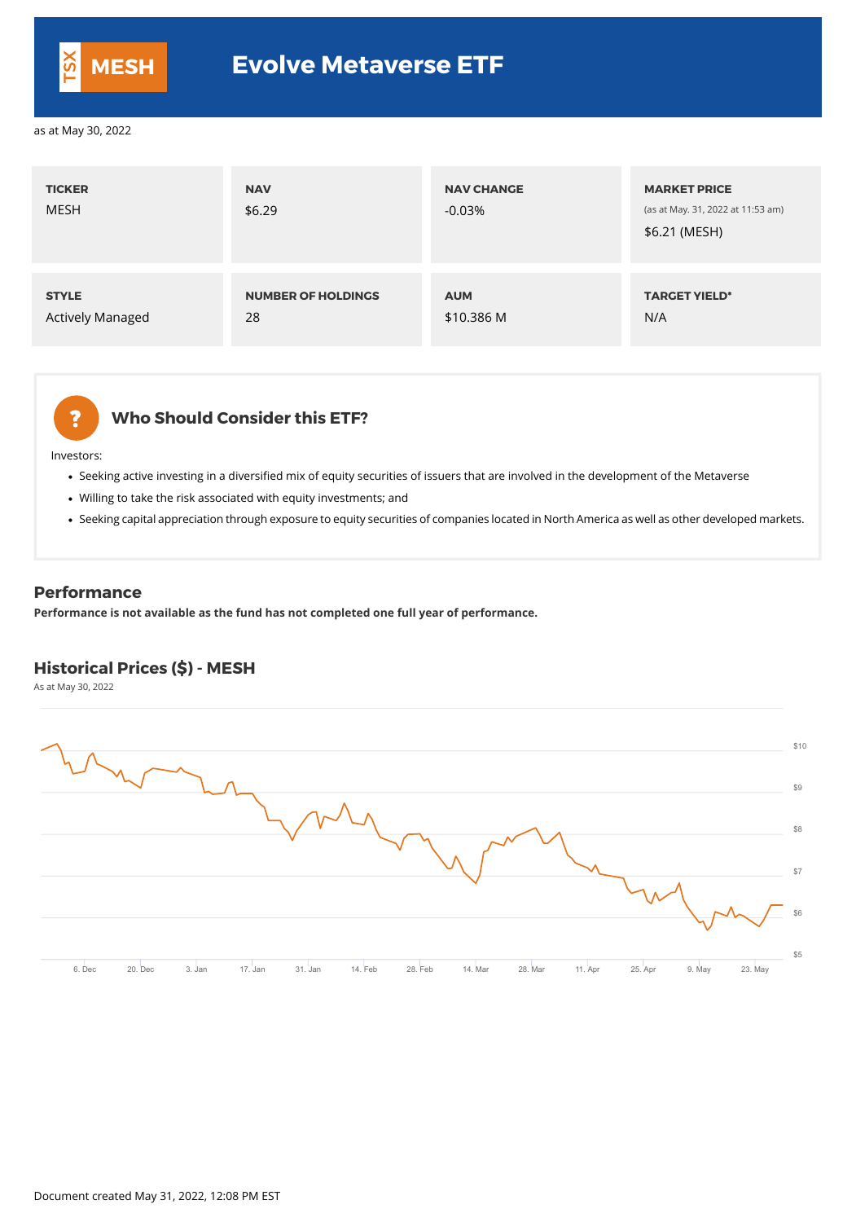## **Who Should Consider this ETF?**

Investors:

- Seeking active investing in a diversified mix of equity securities of issuers that are involved in the development of the Metaverse
- Willing to take the risk associated with equity investments; and
- Seeking capital appreciation through exposure to equity securities of companies located in North America as well as other developed markets.

| <b>TICKER</b><br><b>MESH</b> | <b>NAV</b><br>\$6.29      | <b>NAV CHANGE</b><br>$-0.03%$ | <b>MARKET PRICE</b><br>(as at May. 31, 2022 at 11:53 am)<br>\$6.21 (MESH) |
|------------------------------|---------------------------|-------------------------------|---------------------------------------------------------------------------|
| <b>STYLE</b>                 | <b>NUMBER OF HOLDINGS</b> | <b>AUM</b>                    | <b>TARGET YIELD*</b>                                                      |
| <b>Actively Managed</b>      | 28                        | \$10.386 M                    | N/A                                                                       |



#### **Performance**

**Performance is not available as the fund has not completed one full year of performance.**

## **Historical Prices (\$) - MESH**

As at May 30, 2022



| $\overline{\phantom{0}}$ | \$10 |
|--------------------------|------|
|                          | \$9  |
|                          | R    |



## **MESH Evolve Metaverse ETF**

as at May 30, 2022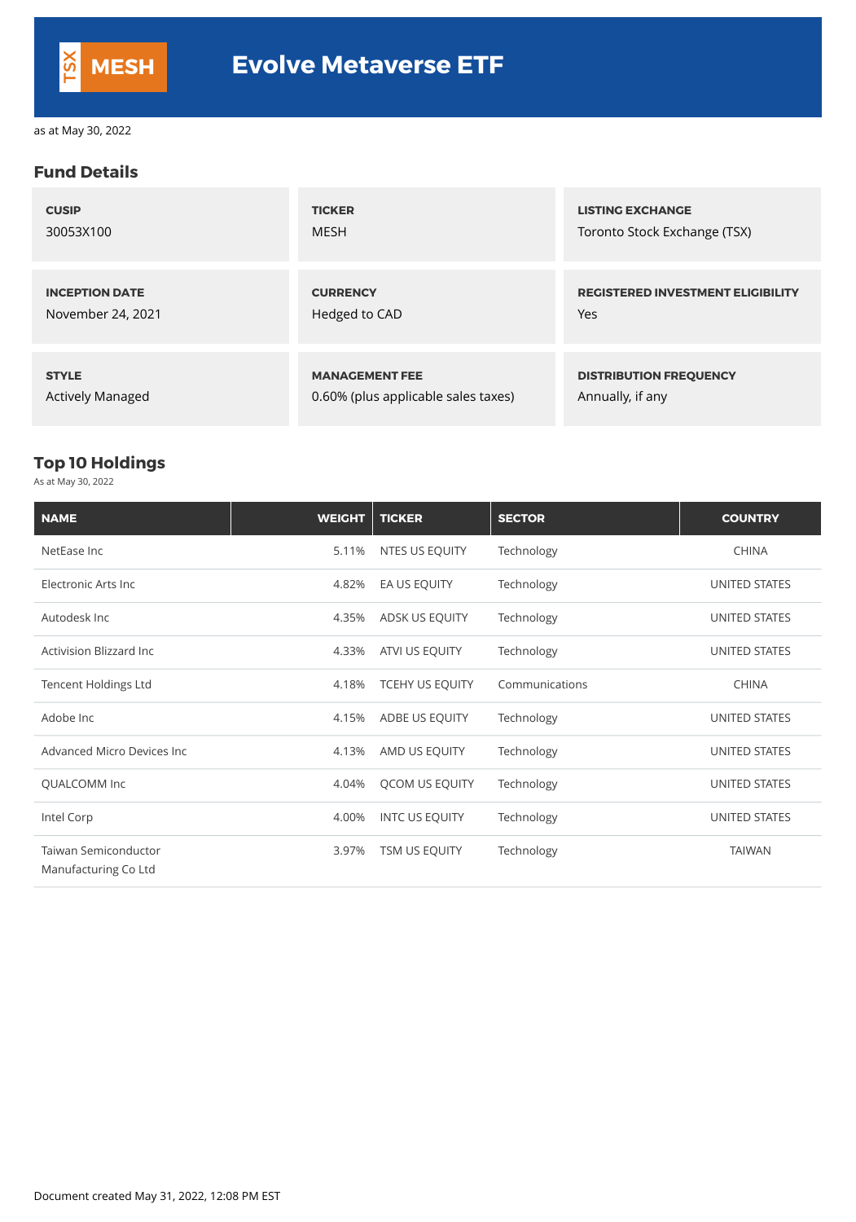### **Fund Details**

| <b>CUSIP</b>            | <b>TICKER</b>                       | <b>LISTING EXCHANGE</b>                  |
|-------------------------|-------------------------------------|------------------------------------------|
| 30053X100               | <b>MESH</b>                         | Toronto Stock Exchange (TSX)             |
| <b>INCEPTION DATE</b>   | <b>CURRENCY</b>                     | <b>REGISTERED INVESTMENT ELIGIBILITY</b> |
| November 24, 2021       | Hedged to CAD                       | Yes                                      |
| <b>STYLE</b>            | <b>MANAGEMENT FEE</b>               | <b>DISTRIBUTION FREQUENCY</b>            |
| <b>Actively Managed</b> | 0.60% (plus applicable sales taxes) | Annually, if any                         |

## **Top 10 Holdings**

As at May 30, 2022

| <b>NAME</b>                        | <b>WEIGHT</b> | <b>TICKER</b>          | <b>SECTOR</b>  | <b>COUNTRY</b>       |
|------------------------------------|---------------|------------------------|----------------|----------------------|
| NetEase Inc                        | 5.11%         | NTES US EQUITY         | Technology     | <b>CHINA</b>         |
| Electronic Arts Inc                | 4.82%         | EA US EQUITY           | Technology     | <b>UNITED STATES</b> |
| Autodesk Inc                       | 4.35%         | ADSK US EQUITY         | Technology     | <b>UNITED STATES</b> |
| <b>Activision Blizzard Inc</b>     | 4.33%         | ATVI US EQUITY         | Technology     | UNITED STATES        |
| <b>Tencent Holdings Ltd</b>        | 4.18%         | <b>TCEHY US EQUITY</b> | Communications | <b>CHINA</b>         |
| Adobe Inc                          | 4.15%         | ADBE US EQUITY         | Technology     | UNITED STATES        |
| <b>Advanced Micro Devices Inc.</b> | 4.13%         | AMD US EQUITY          | Technology     | <b>UNITED STATES</b> |
| <b>QUALCOMM Inc</b>                | 4.04%         | QCOM US EQUITY         | Technology     | <b>UNITED STATES</b> |
| Intel Corp                         | 4.00%         | <b>INTC US EQUITY</b>  | Technology     | <b>UNITED STATES</b> |
| <b>Taiwan Semiconductor</b>        | 3.97%         | <b>TSM US EQUITY</b>   | Technology     | <b>TAIWAN</b>        |

Manufacturing Co Ltd

Document created May 31, 2022, 12:08 PM EST



as at May 30, 2022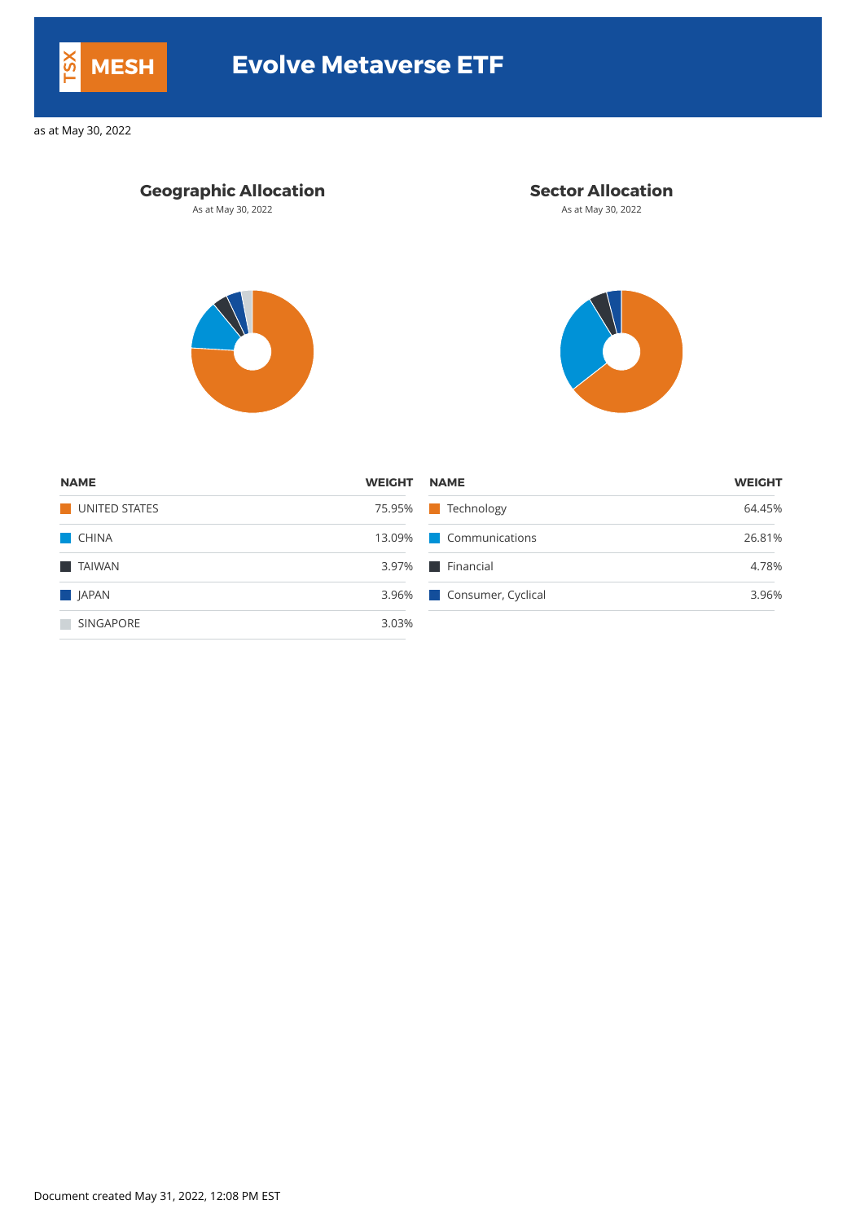| <b>NAME</b>          | <b>WEIGHT</b> | <b>NAME</b>              | <b>WEIGHT</b> |
|----------------------|---------------|--------------------------|---------------|
| UNITED STATES        | 75.95%        | <b>Technology</b>        | 64.45%        |
| <b>CHINA</b>         |               | 13.09% Communications    | 26.81%        |
| <b>TAIWAN</b>        |               | 3.97%   Financial        | 4.78%         |
| $\blacksquare$ JAPAN |               | 3.96% Consumer, Cyclical | 3.96%         |
| SINGAPORE            | 3.03%         |                          |               |

Document created May 31, 2022, 12:08 PM EST



# **MESH Evolve Metaverse ETF**

as at May 30, 2022

## **Geographic Allocation Sector Allocation**

As at May 30, 2022 **As at May 30, 2022** As at May 30, 2022